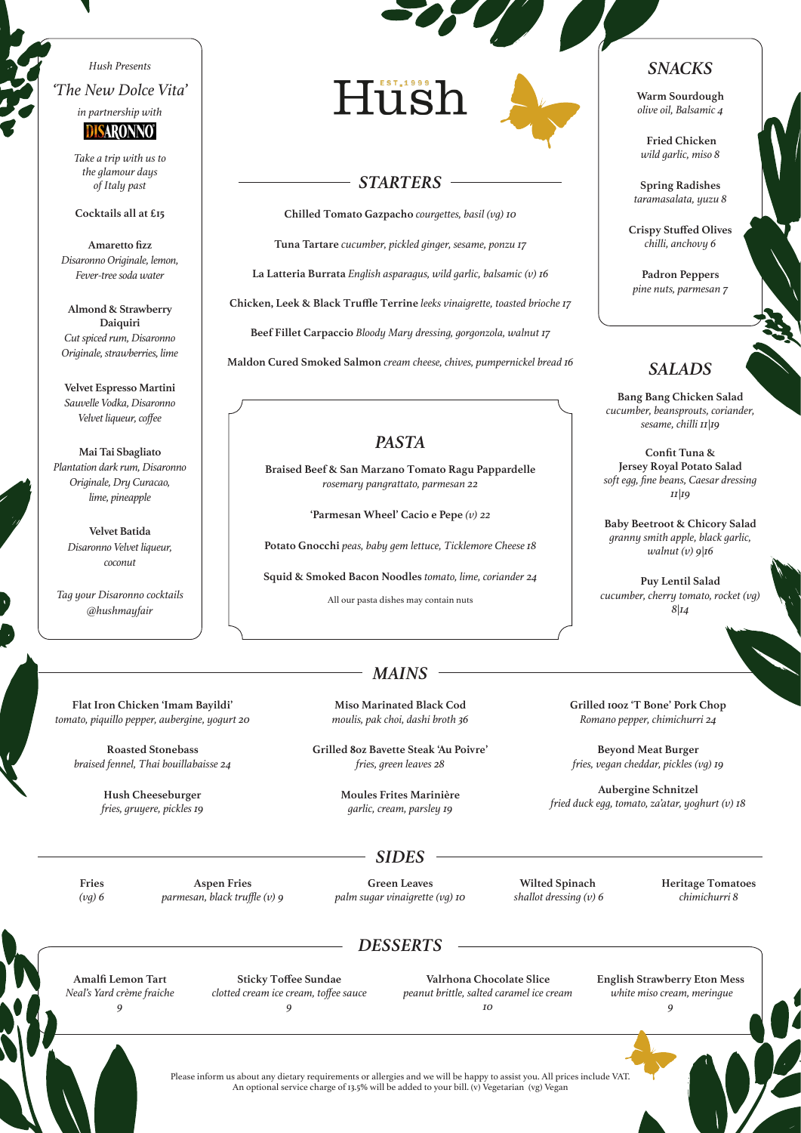### *Hush Presents 'The New Dolce Vita'*



*Take a trip with us to the glamour days of Italy past*

#### **Cocktails all at £15**

**Amaretto fizz** *Disaronno Originale, lemon, Fever-tree soda water*

**Almond & Strawberry Daiquiri** *Cut spiced rum, Disaronno Originale, strawberries, lime*

**Velvet Espresso Martini** *Sauvelle Vodka, Disaronno Velvet liqueur, coffee*

**Mai Tai Sbagliato** *Plantation dark rum, Disaronno Originale, Dry Curacao, lime, pineapple*

> **Velvet Batida** *Disaronno Velvet liqueur, coconut*

*Tag your Disaronno cocktails @hushmayfair* 

Hush

### *STARTERS*

**Chilled Tomato Gazpacho** *courgettes, basil (vg) 10*

**Tuna Tartare** *cucumber, pickled ginger, sesame, ponzu 17*

**La Latteria Burrata** *English asparagus, wild garlic, balsamic (v) 16* 

**Chicken, Leek & Black Truffle Terrine** *leeks vinaigrette, toasted brioche 17*

**Beef Fillet Carpaccio** *Bloody Mary dressing, gorgonzola, walnut 17*

**Maldon Cured Smoked Salmon** *cream cheese, chives, pumpernickel bread 16*

## *PASTA*

**Braised Beef & San Marzano Tomato Ragu Pappardelle**  *rosemary pangrattato, parmesan 22*

**'Parmesan Wheel' Cacio e Pepe** *(v) 22*

**Potato Gnocchi** *peas, baby gem lettuce, Ticklemore Cheese 18*

**Squid & Smoked Bacon Noodles** *tomato, lime, coriander 24*

All our pasta dishes may contain nuts

### *SNACKS*

**Warm Sourdough** *olive oil, Balsamic 4*

**Fried Chicken** *wild garlic, miso 8*

**Spring Radishes** *taramasalata, yuzu 8*

**Crispy Stuffed Olives** *chilli, anchovy 6*

**Padron Peppers** *pine nuts, parmesan 7*

# *SALADS*

**Bang Bang Chicken Salad** *cucumber, beansprouts, coriander, sesame, chilli 11|19*

**Confit Tuna & Jersey Royal Potato Salad** *soft egg, fine beans, Caesar dressing 11|19*

**Baby Beetroot & Chicory Salad**  *granny smith apple, black garlic, walnut (v) 9|16* 

**Puy Lentil Salad**  *cucumber, cherry tomato, rocket (vg)*   $8|14$ 

**Flat Iron Chicken 'Imam Bayildi'**  *tomato, piquillo pepper, aubergine, yogurt 20*

**Roasted Stonebass**  *braised fennel, Thai bouillabaisse 24*

> **Hush Cheeseburger** *fries, gruyere, pickles 19*

**Miso Marinated Black Cod**  *moulis, pak choi, dashi broth 36*

*MAINS*

**Grilled 8oz Bavette Steak 'Au Poivre'**  *fries, green leaves 28*

> **Moules Frites Marinière**  *garlic, cream, parsley 19*

**Grilled 10oz 'T Bone' Pork Chop**  *Romano pepper, chimichurri 24*

**Beyond Meat Burger** *fries, vegan cheddar, pickles (vg) 19* 

**Aubergine Schnitzel**  *fried duck egg, tomato, za'atar, yoghurt (v) 18* 

**Fries** *(vg) 6*

**Aspen Fries**  *parmesan, black truffle (v) 9*

**Green Leaves**  *palm sugar vinaigrette (vg) 10*

*SIDES*

**Wilted Spinach**  *shallot dressing (v) 6* **Heritage Tomatoes** *chimichurri 8*

## *DESSERTS*

**Amalfi Lemon Tart** *Neal's Yard crème fraiche 9*

**Sticky Toffee Sundae** *clotted cream ice cream, toffee sauce 9*

**Valrhona Chocolate Slice** *peanut brittle, salted caramel ice cream 10*

**English Strawberry Eton Mess**  *white miso cream, meringue 9*



Please inform us about any dietary requirements or allergies and we will be happy to assist you. All prices include VAT. An optional service charge of 13.5% will be added to your bill. (v) Vegetarian (vg) Vegan